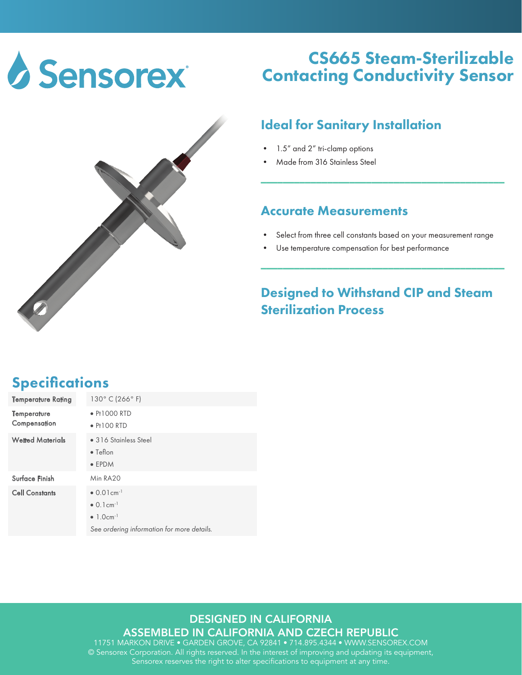



## CS665 Steam-Sterilizable Contacting Conductivity Sensor

### Ideal for Sanitary Installation

- 1.5" and 2" tri-clamp options
- Made from 316 Stainless Steel

#### Accurate Measurements

Select from three cell constants based on your measurement range

\_\_\_\_\_\_\_\_\_\_\_\_\_\_\_\_\_\_\_\_\_\_\_\_\_\_\_\_\_\_\_\_\_\_\_\_\_\_\_\_\_\_\_\_

Use temperature compensation for best performance

## Designed to Withstand CIP and Steam Sterilization Process

\_\_\_\_\_\_\_\_\_\_\_\_\_\_\_\_\_\_\_\_\_\_\_\_\_\_\_\_\_\_\_\_\_\_\_\_\_\_\_\_\_\_\_\_

## **Specifications**

| Temperature Rating          | 130° C (266° F)                             |
|-----------------------------|---------------------------------------------|
| Temperature<br>Compensation | $\bullet$ Pt1000 RTD<br>$\bullet$ Pt100 RTD |
|                             |                                             |
| <b>Wetted Materials</b>     | • 316 Stainless Steel                       |
|                             | $\bullet$ Teflon                            |
|                             | $\bullet$ EPDM                              |
| Surface Finish              | Min RA20                                    |
| <b>Cell Constants</b>       | $\bullet$ 0.01 cm <sup>-1</sup>             |
|                             | $\bullet$ 0.1 cm <sup>-1</sup>              |
|                             | $\bullet$ 1.0cm <sup>-1</sup>               |
|                             | See ordering information for more details.  |

#### DESIGNED IN CALIFORNIA

ASSEMBLED IN CALIFORNIA AND CZECH REPUBLIC

11751 MARKON DRIVE • GARDEN GROVE, CA 92841 • 714.895.4344 • WWW.SENSOREX.COM © Sensorex Corporation. All rights reserved. In the interest of improving and updating its equipment, Sensorex reserves the right to alter specifications to equipment at any time.